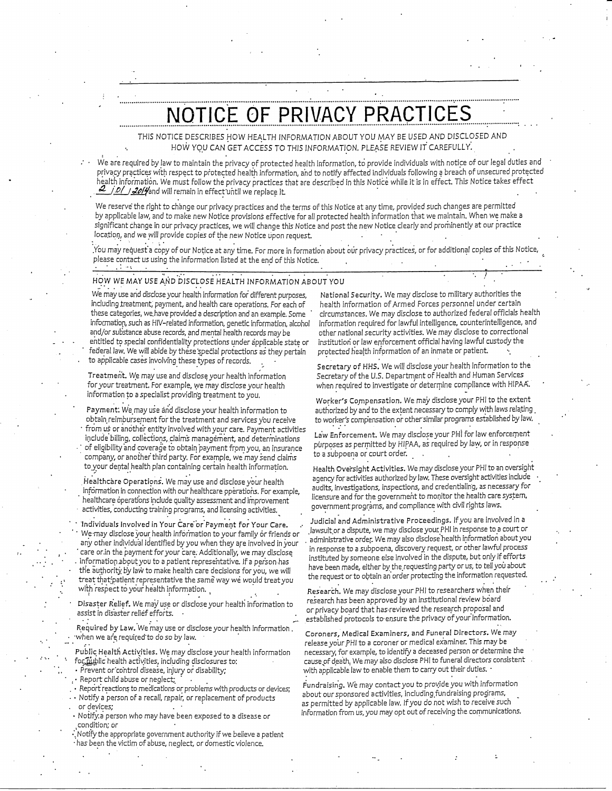# NOTICE OF PRIVACY PRACTICES

THIS NOTICE DESCRIBES HOW HEALTH INFORMATION ABOUT YOU MAY BE USED AND DISCLOSED AND HOW YOU CAN GET ACCESS TO THIS INFORMATION. PLEASE REVIEW IT CAREFULLY.

• We are required by law to maintain the privacy of protected health information, to provide individuals with notice of our legal duties and privacy practices with *respect* to protected health information, and to notify affected individuals following a breach of unsecured protected health information. We must follow the privacy practices that are *described in* this Notice while It is in effect. This Notice takes effect 2 *J.O( J.2014* and will remain in effect until we replace it .

We reserve the right to ch'ange our privacy practices and the terms of this Notice at any time, provided such changes are permitted by applicable law, and to make new Notice provisions effective for all protected health Information that we maintain. When we make a significant change in our privacy practices, we will change this Notice and post the new Notice clearly and prominently at our practice location, and we will provide copies of the new Notice upon request.

.You may request a copy of our Notice at any time. For more in formation about our privacy practices, or for additional copies of this Notice, please contact us using the information listed at the end of this Notice.

## HOW WE MAY USE AND DISCLOSE HEALTH INFORMATION ABOUT YOU

We may use and disclose your health information for different purposes, including treatment, payment, and health care operations. For each of these categories, wehave provided a description and an example. Some ' information, such as HIV-related information, genetic information, alcohol and/or substance abuse records, and mental health records may be entitled to special confidentiality protections under applicable state or federal law. We will abide by these special protections as they pertain to applicable cases involving these types of records.

Treatment. We may use and disclose your health information foryour treatment. For example, we may disclose your health information to a specialist providin'g treatment to you,

Payment; We may use and disclose your health information to obtain reimbursement for the treatment and services you receive • from us or another entity involved with your care. Payment activities include billing, collections, claims management, and determinations of eligibility and coverage to obtain payment from you, an insurance company, or another third party. For example, we may send claims to your dental health plan containing certain health information.

.Healthcare Operations. We may use and disclose your health ^ Information in connection with our healthcare operations. For example, healthcare operations include quality assessment and Improvement activities, conducting training programs, and licensing activities.

' Individuals Involved in Your Care'br'Payment for Your Care. We may disclose your health information to your family or friends or any other individual identified by you when they are involved in your care or.in the payment for your care. Additionally, we may disclose . Information 3bputyou to a patient represeritative. If a person-has the authority by law to make health care decisions for you, we will treat that patient representative the same way we would treat you with respect to your health information.

Disaster Relief. We may use or disclose your health information to assist in disaster relief efforts.

Required by Law. We may use or disclose your health information. when we are required to do so by law.

Public Health Activities. We may disclose your health information for public health activities, including disclosures to:

- Prevent or control disease, injury of disability;
- Report child abuse or neglect;

• Report reactions to medications or problems with products or devices;

- Notify a person of a recall, repair, or replacement of products
- *or devices; . '*
- Notlfy.a *person* who may have been exposed to a disease or , condition; or

•'.Notify the appropriate government authority if we believe a patient · has been the victim of abuse, neglect, or domestic violence.

National Security. We may disclose to military authorities the health information of Armed *Forces* personnel under certain circumstances. We may *disclose* to authorized federal officials health information required for lawful intelligence, counterintelligence, and other national security activities. We may disclose to correctional institution or law enforcement official having lawful custody the protected heajth infprmation of an inmate or patient

Secretary of HHS. We will disclose your health information to the Secretary of the U.S. Departm^ent of Health and Human Services when required to investigate or determine compliance with HIPAA. '

Worker's Compensation. We may disclose your PHI to the extent authorized by and to the extent necessary to comply with laws relating. to worker's compensation or otherslmilar programs established by law.

Law Enforcement. We may disclose your PHl for law enforcernent purposes as permitted by HIPAA, as required by law, or in response to a subpoena or court order.

Health Oversight Activities. We may disclose your PHI to an oversight agency for activities authorized by law. These oversight activities include audits, investigations, inspections, and credentialing, as necessary for licensure and for the government to monitor the health care system, government programs, and compliance with civil rights laws.

Judicial and Administrative Proceedings. If you are involved in a .lawsuit or a dispute, we may disclose your PHI in response to a court or administrative order. We may also disclose health information about you In response to a subpoena, discovery request, or other lawful process instituted by someone else involved in the dispute, but only if efforts have been made, either by the requesting party or us, to tell you about the request or to obtain an order protecting the information requested.

Research. We may disclose your PHI to researchers when their research has been approved by an institutional review board or privacy board that has-reviewed the research proposal and established protocols to ensure the privacy of your information.

Coroners, Medical Examiners, and Funeral Directors. We may release your PHI to a coroner or medical examiner This may be necessary, for example, to identify a deceased person or determine the cause of death. We may also disclose PHI to funeral directors consistent . with applicable law to enable them to carry out their duties. -

Fundraislng. We may contact you to provide you with information about our sponsored activities, including fundraising programs, as permitted by applicable law. If you do not wish to receive such Information from us, you may opt out of receiving the communications.